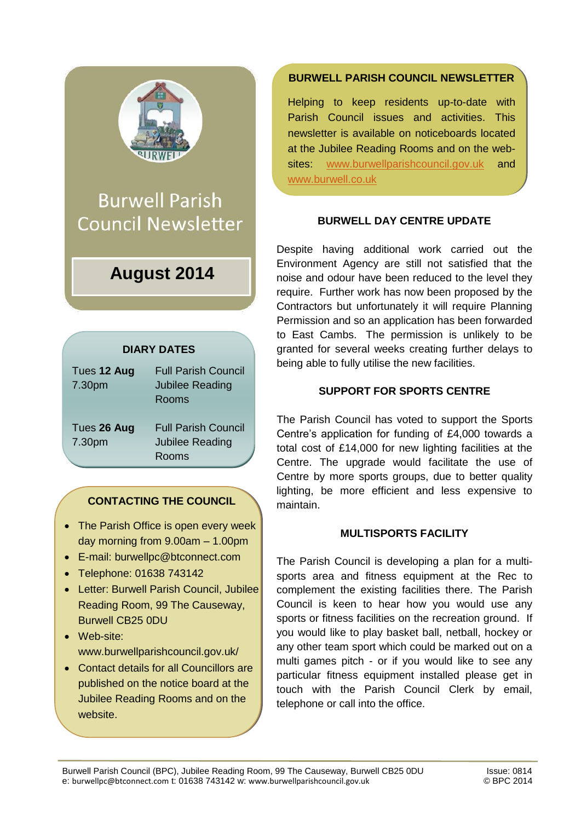

**Burwell Parish Council Newsletter** 

# **August 2014**

# **DIARY DATES**

| Tues 12 Aug<br>7.30pm | <b>Full Parish Council</b><br><b>Jubilee Reading</b><br><b>Rooms</b> |
|-----------------------|----------------------------------------------------------------------|
| Tues 26 Aug           | <b>Full Parish Council</b>                                           |
| 7.30pm                | Jubilee Reading<br>Rooms                                             |

# **CONTACTING THE COUNCIL**

- The Parish Office is open every week day morning from 9.00am – 1.00pm
- E-mail: burwellpc@btconnect.com
- Telephone: 01638 743142
- Letter: Burwell Parish Council, Jubilee Reading Room, 99 The Causeway, Burwell CB25 0DU
- Web-site: www.burwellparishcouncil.gov.uk/
- Contact details for all Councillors are published on the notice board at the Jubilee Reading Rooms and on the website.

## **BURWELL PARISH COUNCIL NEWSLETTER**

Helping to keep residents up-to-date with Parish Council issues and activities. This newsletter is available on noticeboards located at the Jubilee Reading Rooms and on the websites: [www.burwellparishcouncil.gov.uk](http://www.burwellparishcouncil.gov.uk/) and [www.burwell.co.uk](http://www.burwell.co.uk/)

#### **BURWELL DAY CENTRE UPDATE**

Despite having additional work carried out the Environment Agency are still not satisfied that the noise and odour have been reduced to the level they require. Further work has now been proposed by the Contractors but unfortunately it will require Planning Permission and so an application has been forwarded to East Cambs. The permission is unlikely to be granted for several weeks creating further delays to being able to fully utilise the new facilities.

#### **SUPPORT FOR SPORTS CENTRE**

The Parish Council has voted to support the Sports Centre's application for funding of £4,000 towards a total cost of £14,000 for new lighting facilities at the Centre. The upgrade would facilitate the use of Centre by more sports groups, due to better quality lighting, be more efficient and less expensive to maintain.

#### **MULTISPORTS FACILITY**

The Parish Council is developing a plan for a multisports area and fitness equipment at the Rec to complement the existing facilities there. The Parish Council is keen to hear how you would use any sports or fitness facilities on the recreation ground. If you would like to play basket ball, netball, hockey or any other team sport which could be marked out on a multi games pitch - or if you would like to see any particular fitness equipment installed please get in touch with the Parish Council Clerk by email, telephone or call into the office.